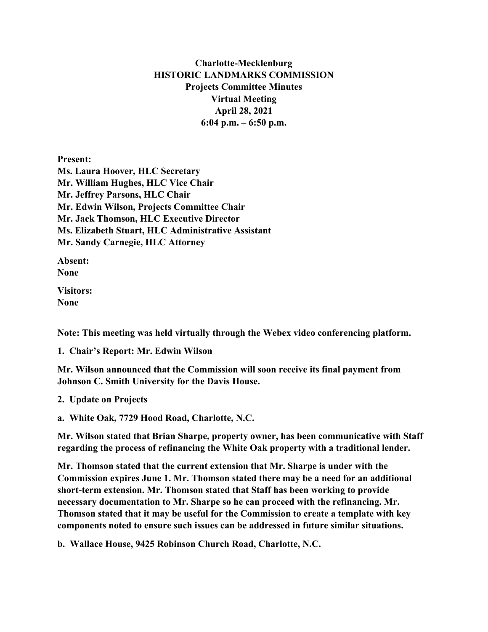## **Charlotte-Mecklenburg HISTORIC LANDMARKS COMMISSION Projects Committee Minutes Virtual Meeting April 28, 2021 6:04 p.m. – 6:50 p.m.**

**Present: Ms. Laura Hoover, HLC Secretary Mr. William Hughes, HLC Vice Chair Mr. Jeffrey Parsons, HLC Chair Mr. Edwin Wilson, Projects Committee Chair Mr. Jack Thomson, HLC Executive Director Ms. Elizabeth Stuart, HLC Administrative Assistant Mr. Sandy Carnegie, HLC Attorney**

**Absent: None**

**Visitors: None**

**Note: This meeting was held virtually through the Webex video conferencing platform.**

**1. Chair's Report: Mr. Edwin Wilson**

**Mr. Wilson announced that the Commission will soon receive its final payment from Johnson C. Smith University for the Davis House.** 

**2. Update on Projects** 

**a. White Oak, 7729 Hood Road, Charlotte, N.C.**

**Mr. Wilson stated that Brian Sharpe, property owner, has been communicative with Staff regarding the process of refinancing the White Oak property with a traditional lender.** 

**Mr. Thomson stated that the current extension that Mr. Sharpe is under with the Commission expires June 1. Mr. Thomson stated there may be a need for an additional short-term extension. Mr. Thomson stated that Staff has been working to provide necessary documentation to Mr. Sharpe so he can proceed with the refinancing. Mr. Thomson stated that it may be useful for the Commission to create a template with key components noted to ensure such issues can be addressed in future similar situations.** 

**b. Wallace House, 9425 Robinson Church Road, Charlotte, N.C.**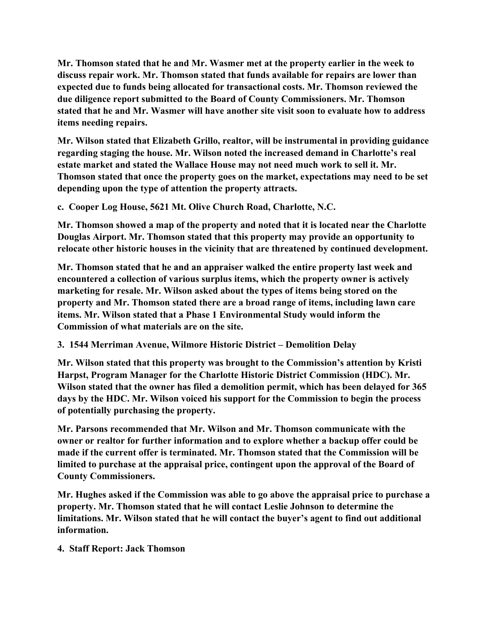**Mr. Thomson stated that he and Mr. Wasmer met at the property earlier in the week to discuss repair work. Mr. Thomson stated that funds available for repairs are lower than expected due to funds being allocated for transactional costs. Mr. Thomson reviewed the due diligence report submitted to the Board of County Commissioners. Mr. Thomson stated that he and Mr. Wasmer will have another site visit soon to evaluate how to address items needing repairs.** 

**Mr. Wilson stated that Elizabeth Grillo, realtor, will be instrumental in providing guidance regarding staging the house. Mr. Wilson noted the increased demand in Charlotte's real estate market and stated the Wallace House may not need much work to sell it. Mr. Thomson stated that once the property goes on the market, expectations may need to be set depending upon the type of attention the property attracts.** 

**c. Cooper Log House, 5621 Mt. Olive Church Road, Charlotte, N.C.**

**Mr. Thomson showed a map of the property and noted that it is located near the Charlotte Douglas Airport. Mr. Thomson stated that this property may provide an opportunity to relocate other historic houses in the vicinity that are threatened by continued development.**

**Mr. Thomson stated that he and an appraiser walked the entire property last week and encountered a collection of various surplus items, which the property owner is actively marketing for resale. Mr. Wilson asked about the types of items being stored on the property and Mr. Thomson stated there are a broad range of items, including lawn care items. Mr. Wilson stated that a Phase 1 Environmental Study would inform the Commission of what materials are on the site.** 

**3. 1544 Merriman Avenue, Wilmore Historic District – Demolition Delay**

**Mr. Wilson stated that this property was brought to the Commission's attention by Kristi Harpst, Program Manager for the Charlotte Historic District Commission (HDC). Mr. Wilson stated that the owner has filed a demolition permit, which has been delayed for 365 days by the HDC. Mr. Wilson voiced his support for the Commission to begin the process of potentially purchasing the property.** 

**Mr. Parsons recommended that Mr. Wilson and Mr. Thomson communicate with the owner or realtor for further information and to explore whether a backup offer could be made if the current offer is terminated. Mr. Thomson stated that the Commission will be limited to purchase at the appraisal price, contingent upon the approval of the Board of County Commissioners.** 

**Mr. Hughes asked if the Commission was able to go above the appraisal price to purchase a property. Mr. Thomson stated that he will contact Leslie Johnson to determine the limitations. Mr. Wilson stated that he will contact the buyer's agent to find out additional information.** 

**4. Staff Report: Jack Thomson**